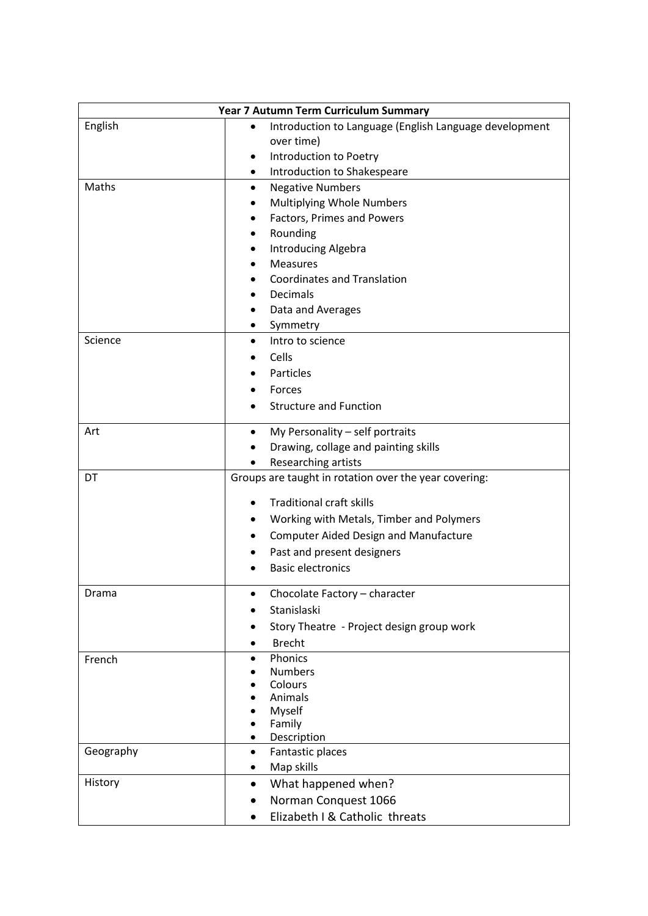| Year 7 Autumn Term Curriculum Summary |                                                                     |
|---------------------------------------|---------------------------------------------------------------------|
| English                               | Introduction to Language (English Language development<br>$\bullet$ |
|                                       | over time)                                                          |
|                                       | Introduction to Poetry                                              |
|                                       | Introduction to Shakespeare<br>$\bullet$                            |
| Maths                                 | <b>Negative Numbers</b><br>$\bullet$                                |
|                                       | Multiplying Whole Numbers                                           |
|                                       | Factors, Primes and Powers                                          |
|                                       | Rounding                                                            |
|                                       | <b>Introducing Algebra</b>                                          |
|                                       | <b>Measures</b>                                                     |
|                                       | <b>Coordinates and Translation</b>                                  |
|                                       | Decimals                                                            |
|                                       | Data and Averages                                                   |
|                                       | Symmetry<br>$\bullet$                                               |
| Science                               | Intro to science<br>$\bullet$                                       |
|                                       | Cells                                                               |
|                                       | Particles                                                           |
|                                       | Forces                                                              |
|                                       | <b>Structure and Function</b>                                       |
|                                       |                                                                     |
| Art                                   | My Personality - self portraits<br>$\bullet$                        |
|                                       | Drawing, collage and painting skills<br>Researching artists         |
| DT                                    | Groups are taught in rotation over the year covering:               |
|                                       |                                                                     |
|                                       | <b>Traditional craft skills</b>                                     |
|                                       | Working with Metals, Timber and Polymers                            |
|                                       | <b>Computer Aided Design and Manufacture</b>                        |
|                                       | Past and present designers                                          |
|                                       | <b>Basic electronics</b>                                            |
|                                       |                                                                     |
| Drama                                 | Chocolate Factory - character                                       |
|                                       | Stanislaski                                                         |
|                                       | Story Theatre - Project design group work                           |
|                                       | <b>Brecht</b>                                                       |
| French                                | Phonics<br>$\bullet$                                                |
|                                       | <b>Numbers</b><br>Colours                                           |
|                                       | Animals                                                             |
|                                       | Myself                                                              |
|                                       | Family                                                              |
|                                       | Description<br>$\bullet$                                            |
| Geography                             | Fantastic places<br>$\bullet$                                       |
|                                       | Map skills<br>٠                                                     |
| History                               | What happened when?<br>$\bullet$                                    |
|                                       | Norman Conquest 1066<br>$\bullet$                                   |
|                                       | Elizabeth I & Catholic threats                                      |